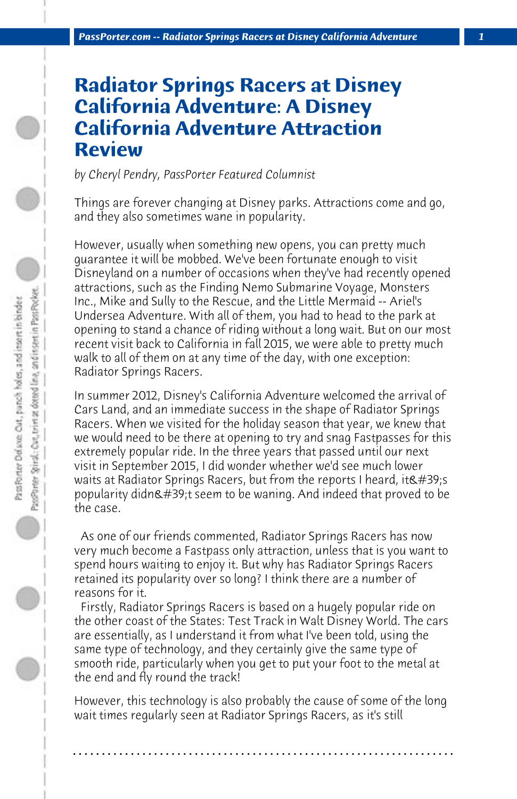## **Radiator Springs Racers at Disney California Adventure: A Disney California Adventure Attraction Review**

*by Cheryl Pendry, PassPorter Featured Columnist*

Things are forever changing at Disney parks. Attractions come and go, and they also sometimes wane in popularity.

However, usually when something new opens, you can pretty much guarantee it will be mobbed. We've been fortunate enough to visit Disneyland on a number of occasions when they've had recently opened attractions, such as the Finding Nemo Submarine Voyage, Monsters Inc., Mike and Sully to the Rescue, and the Little Mermaid -- Ariel's Undersea Adventure. With all of them, you had to head to the park at opening to stand a chance of riding without a long wait. But on our most recent visit back to California in fall 2015, we were able to pretty much walk to all of them on at any time of the day, with one exception: Radiator Springs Racers.

In summer 2012, Disney's California Adventure welcomed the arrival of Cars Land, and an immediate success in the shape of Radiator Springs Racers. When we visited for the holiday season that year, we knew that we would need to be there at opening to try and snag Fastpasses for this extremely popular ride. In the three years that passed until our next visit in September 2015, I did wonder whether we'd see much lower waits at Radiator Springs Racers, but from the reports I heard, it's popularity didn't seem to be waning. And indeed that proved to be the case.

 As one of our friends commented, Radiator Springs Racers has now very much become a Fastpass only attraction, unless that is you want to spend hours waiting to enjoy it. But why has Radiator Springs Racers retained its popularity over so long? I think there are a number of reasons for it.

 Firstly, Radiator Springs Racers is based on a hugely popular ride on the other coast of the States: Test Track in Walt Disney World. The cars are essentially, as I understand it from what I've been told, using the same type of technology, and they certainly give the same type of smooth ride, particularly when you get to put your foot to the metal at the end and fly round the track!

However, this technology is also probably the cause of some of the long wait times regularly seen at Radiator Springs Racers, as it's still

**. . . . . . . . . . . . . . . . . . . . . . . . . . . . . . . . . . . . . . . . . . . . . . . . . . . . . . . . . . . . . . . . . .**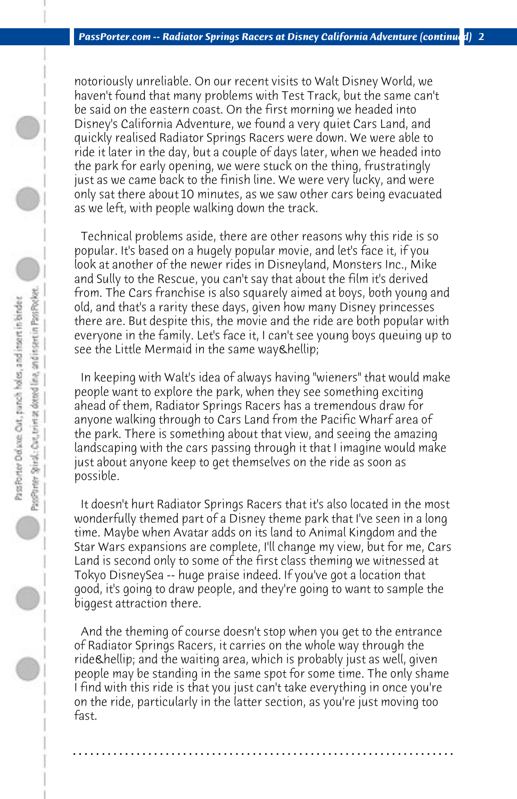notoriously unreliable. On our recent visits to Walt Disney World, we haven't found that many problems with Test Track, but the same can't be said on the eastern coast. On the first morning we headed into Disney's California Adventure, we found a very quiet Cars Land, and quickly realised Radiator Springs Racers were down. We were able to ride it later in the day, but a couple of days later, when we headed into the park for early opening, we were stuck on the thing, frustratingly just as we came back to the finish line. We were very lucky, and were only sat there about 10 minutes, as we saw other cars being evacuated as we left, with people walking down the track.

 Technical problems aside, there are other reasons why this ride is so popular. It's based on a hugely popular movie, and let's face it, if you look at another of the newer rides in Disneyland, Monsters Inc., Mike and Sully to the Rescue, you can't say that about the film it's derived from. The Cars franchise is also squarely aimed at boys, both young and old, and that's a rarity these days, given how many Disney princesses there are. But despite this, the movie and the ride are both popular with everyone in the family. Let's face it, I can't see young boys queuing up to see the Little Mermaid in the same way & hellip;

 In keeping with Walt's idea of always having "wieners" that would make people want to explore the park, when they see something exciting ahead of them, Radiator Springs Racers has a tremendous draw for anyone walking through to Cars Land from the Pacific Wharf area of the park. There is something about that view, and seeing the amazing landscaping with the cars passing through it that I imagine would make just about anyone keep to get themselves on the ride as soon as possible.

 It doesn't hurt Radiator Springs Racers that it's also located in the most wonderfully themed part of a Disney theme park that I've seen in a long time. Maybe when Avatar adds on its land to Animal Kingdom and the Star Wars expansions are complete, I'll change my view, but for me, Cars Land is second only to some of the first class theming we witnessed at Tokyo DisneySea -- huge praise indeed. If you've got a location that good, it's going to draw people, and they're going to want to sample the biggest attraction there.

 And the theming of course doesn't stop when you get to the entrance of Radiator Springs Racers, it carries on the whole way through the ride… and the waiting area, which is probably just as well, given people may be standing in the same spot for some time. The only shame I find with this ride is that you just can't take everything in once you're on the ride, particularly in the latter section, as you're just moving too fast.

**. . . . . . . . . . . . . . . . . . . . . . . . . . . . . . . . . . . . . . . . . . . . . . . . . . . . . . . . . . . . . . . . . .**